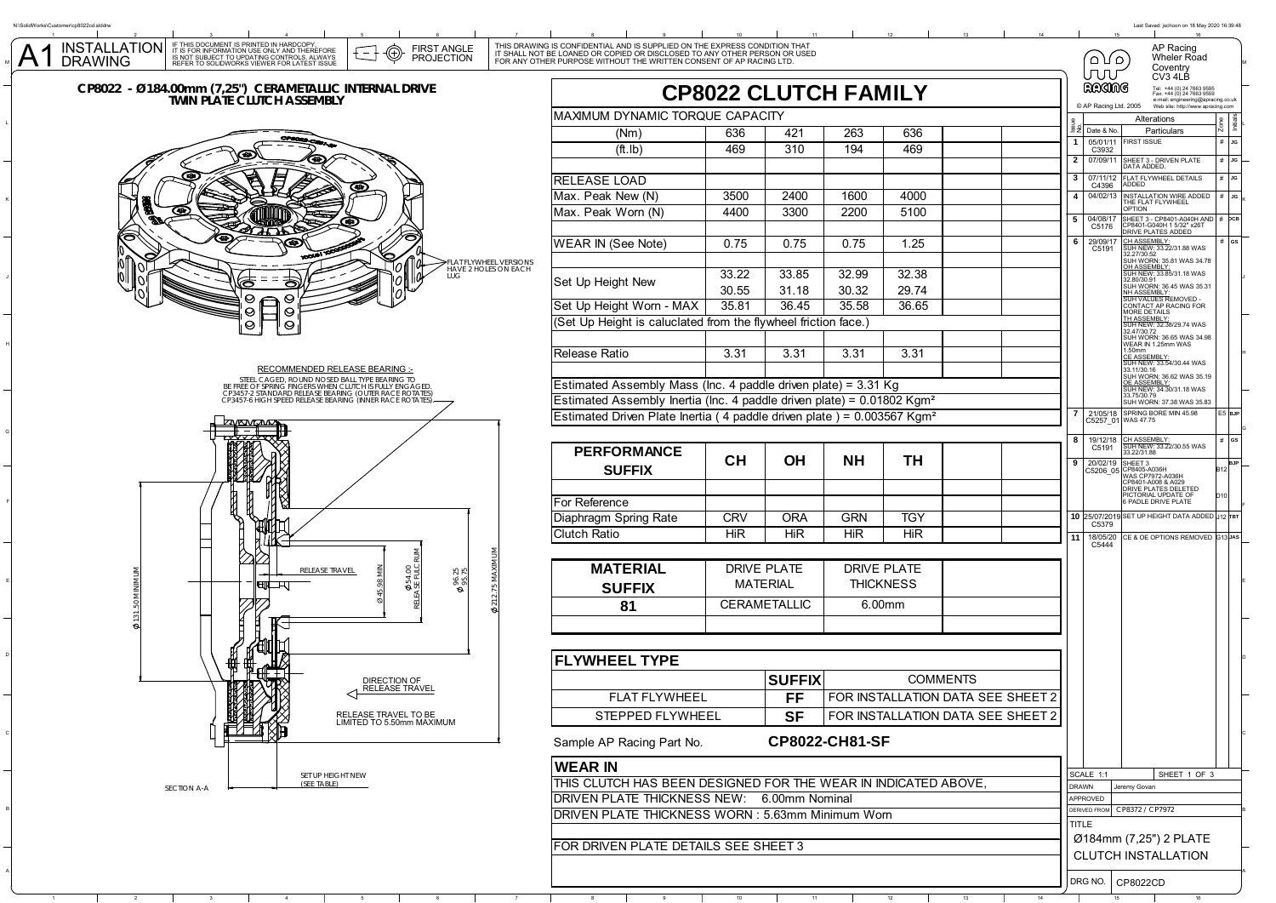

L

N:\SolidWorks\Customer\cp8022cd.slddrw

A1

K

J

C

B

A

Last Saved: jschoon on 18 May 2020 16:39:48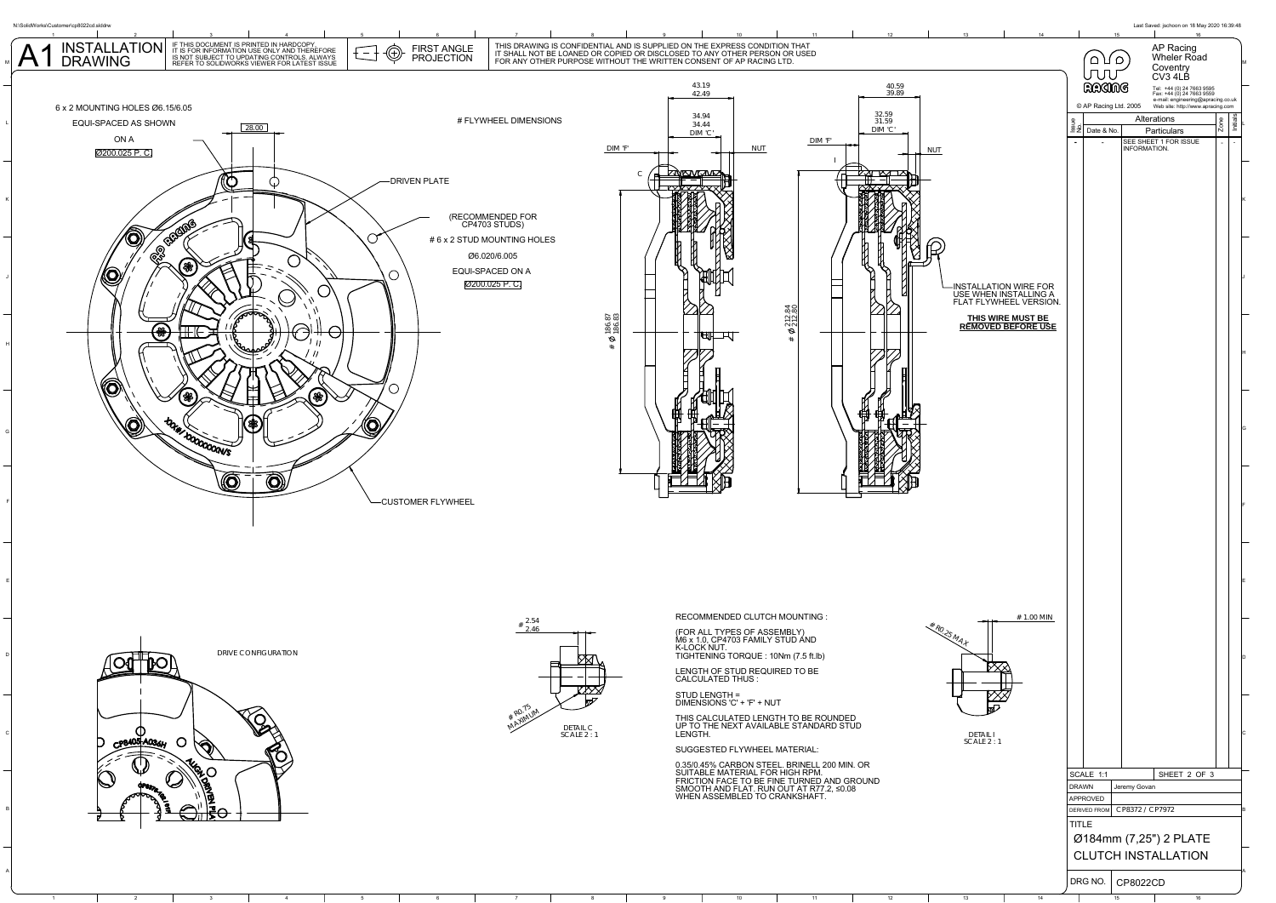

1 2 3 4 5 6 7 8 9 10 11 12 3

DRG NO. CP8022CD

14 15 16 16